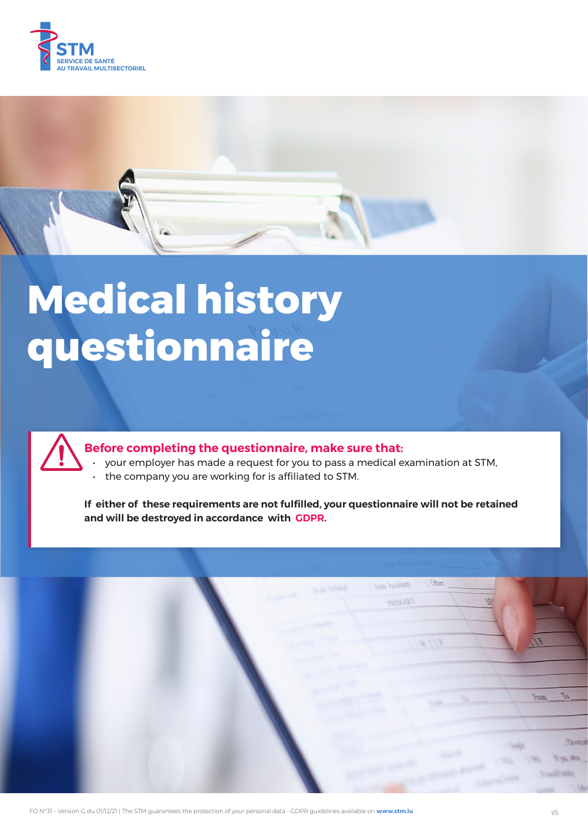



# **Medical history questionnaire**



# **Before completing the questionnaire, make sure that:**

- your employer has made a request for you to pass a medical examination at STM,
- the company you are working for is affiliated to STM.

**If either of these requirements are not fulfilled, your questionnaire will not be retained and will be destroyed in accordance with GDPR.**

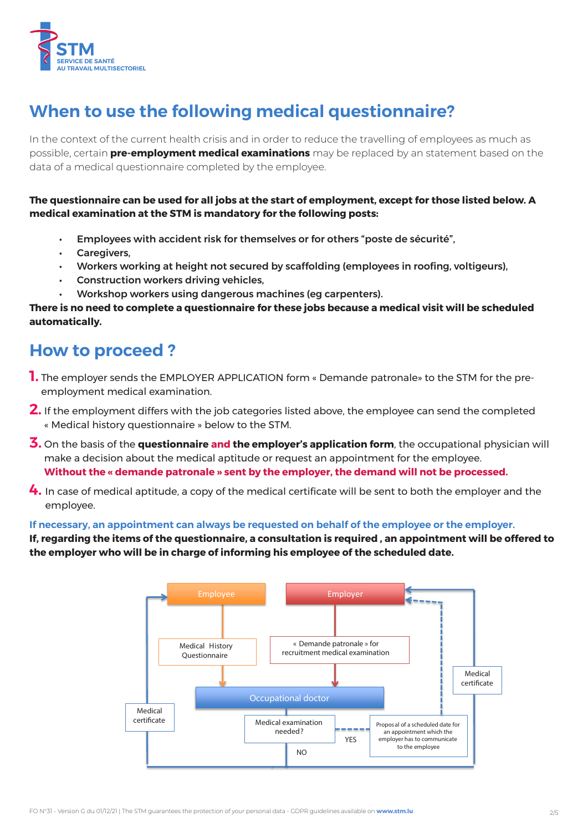

# **When to use the following medical questionnaire?**

In the context of the current health crisis and in order to reduce the travelling of employees as much as possible, certain **pre-employment medical examinations** may be replaced by an statement based on the data of a medical questionnaire completed by the employee.

## **The questionnaire can be used for all jobs at the start of employment, except for those listed below. A medical examination at the STM is mandatory for the following posts:**

- Employees with accident risk for themselves or for others "poste de sécurité",
- Caregivers,
- Workers working at height not secured by scaffolding (employees in roofing, voltigeurs),
- Construction workers driving vehicles,
- Workshop workers using dangerous machines (eg carpenters).

### **There is no need to complete a questionnaire for these jobs because a medical visit will be scheduled automatically.**

# **How to proceed ?**

- **1.** The employer sends the EMPLOYER APPLICATION form « Demande patronale» to the STM for the preemployment medical examination.
- **2.** If the employment differs with the job categories listed above, the employee can send the completed « Medical history questionnaire » below to the STM.
- **3.** On the basis of the **questionnaire and the employer's application form**, the occupational physician will make a decision about the medical aptitude or request an appointment for the employee. **Without the « demande patronale » sent by the employer, the demand will not be processed.**
- **4.** In case of medical aptitude, a copy of the medical certificate will be sent to both the employer and the employee.

### **If necessary, an appointment can always be requested on behalf of the employee or the employer.**

**If, regarding the items of the questionnaire, a consultation is required , an appointment will be offered to the employer who will be in charge of informing his employee of the scheduled date.**

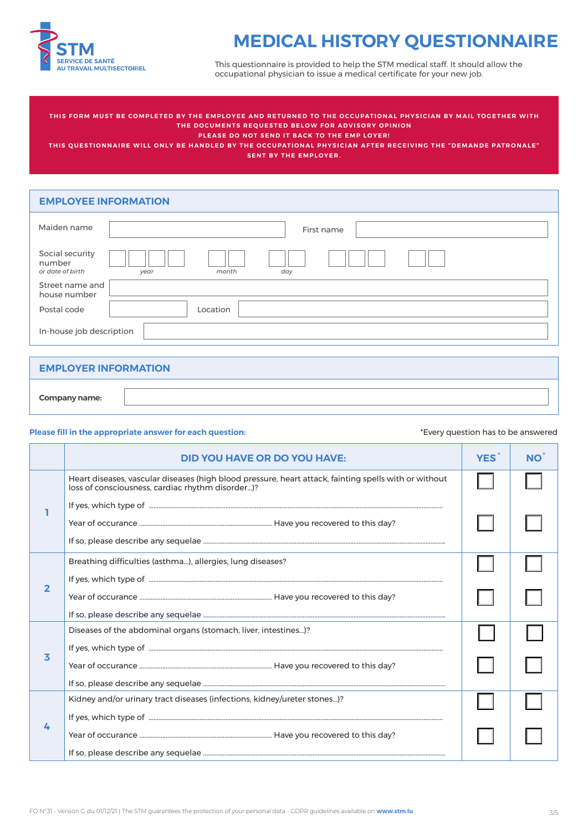

# **MEDICAL HISTORY QUESTIONNAIRE**

This questionnaire is provided to help the STM medical staff. It should allow the occupational physician to issue a medical certificate for your new job.

THIS FORM MUST BE COMPLETED BY THE EMPLOYEE AND RETURNED TO THE OCCUPATIONAL PHYSICIAN BY MAIL TOGETHER WITH **THE DOCUMENTS REQUESTED BELOW FOR ADVISORY OPINION**

**PLEASE DO NOT SEND IT BACK TO THE EMP LOYER!** 

THIS QUESTIONNAIRE WILL ONLY BE HANDLED BY THE OCCUPATIONAL PHYSICIAN AFTER RECEIVING THE "DEMANDE PATRONALE" **SENT BY THE EMPLOYER.**

### **EMPLOYEE INFORMATION**

| Maiden name                                   | First name           |
|-----------------------------------------------|----------------------|
| Social security<br>number<br>or date of birth | day<br>month<br>year |
| Street name and<br>house number               |                      |
| Postal code                                   | Location             |
| In-house job description                      |                      |

### **EMPLOYER INFORMATION**

| Company name: |  |
|---------------|--|
|               |  |

#### **Please fill in the appropriate answer for each question:**

#### \*Every question has to be answered

|   | <b>DID YOU HAVE OR DO YOU HAVE:</b>                                                                                                                       | <b>YES</b> | <b>NO</b> |
|---|-----------------------------------------------------------------------------------------------------------------------------------------------------------|------------|-----------|
|   | Heart diseases, vascular diseases (high blood pressure, heart attack, fainting spells with or without<br>loss of consciousness, cardiac rhythm disorder)? |            |           |
|   |                                                                                                                                                           |            |           |
| 2 | Breathing difficulties (asthma), allergies, lung diseases?                                                                                                |            |           |
|   |                                                                                                                                                           |            |           |
| 3 | Diseases of the abdominal organs (stomach, liver, intestines)?                                                                                            |            |           |
|   |                                                                                                                                                           |            |           |
| 4 | Kidney and/or urinary tract diseases (infections, kidney/ureter stones)?                                                                                  |            |           |
|   |                                                                                                                                                           |            |           |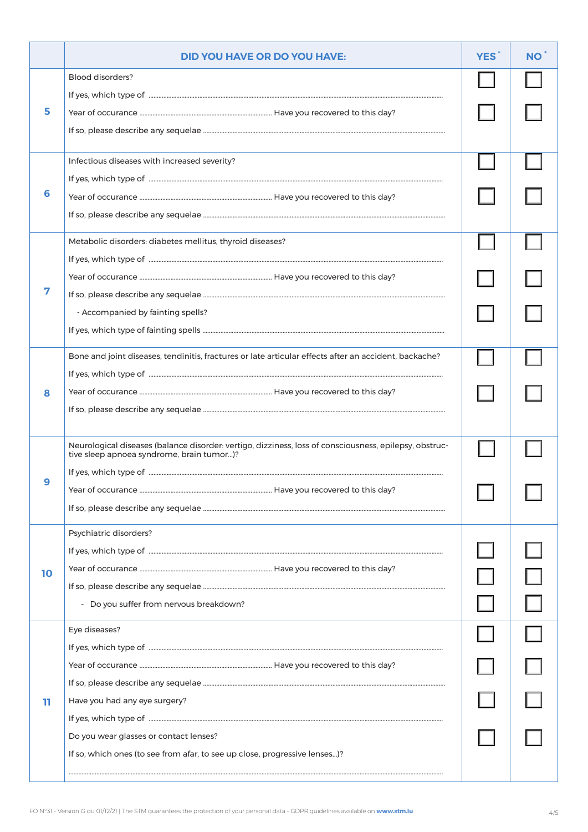|    | <b>DID YOU HAVE OR DO YOU HAVE:</b>                                                                                                                 | <b>YES</b> | <b>NO</b> |
|----|-----------------------------------------------------------------------------------------------------------------------------------------------------|------------|-----------|
| 5. | <b>Blood disorders?</b>                                                                                                                             |            |           |
|    |                                                                                                                                                     |            |           |
|    |                                                                                                                                                     |            |           |
|    |                                                                                                                                                     |            |           |
|    | Infectious diseases with increased severity?                                                                                                        |            |           |
|    |                                                                                                                                                     |            |           |
| 6  |                                                                                                                                                     |            |           |
|    |                                                                                                                                                     |            |           |
|    | Metabolic disorders: diabetes mellitus, thyroid diseases?                                                                                           |            |           |
|    |                                                                                                                                                     |            |           |
|    |                                                                                                                                                     |            |           |
|    | - Accompanied by fainting spells?                                                                                                                   |            |           |
|    |                                                                                                                                                     |            |           |
|    | Bone and joint diseases, tendinitis, fractures or late articular effects after an accident, backache?                                               |            |           |
|    |                                                                                                                                                     |            |           |
| 8  |                                                                                                                                                     |            |           |
|    |                                                                                                                                                     |            |           |
|    |                                                                                                                                                     |            |           |
|    | Neurological diseases (balance disorder: vertigo, dizziness, loss of consciousness, epilepsy, obstruc-<br>tive sleep apnoea syndrome, brain tumor)? |            |           |
|    |                                                                                                                                                     |            |           |
|    |                                                                                                                                                     |            |           |
|    |                                                                                                                                                     |            |           |
|    | Psychiatric disorders?                                                                                                                              |            |           |
|    |                                                                                                                                                     |            |           |
| 10 |                                                                                                                                                     |            |           |
|    | - Do you suffer from nervous breakdown?                                                                                                             |            |           |
|    | Eye diseases?                                                                                                                                       |            |           |
|    |                                                                                                                                                     |            |           |
|    |                                                                                                                                                     |            |           |
| ш  |                                                                                                                                                     |            |           |
|    | Have you had any eye surgery?                                                                                                                       |            |           |
|    | Do you wear glasses or contact lenses?                                                                                                              |            |           |
|    | If so, which ones (to see from afar, to see up close, progressive lenses)?                                                                          |            |           |
|    |                                                                                                                                                     |            |           |